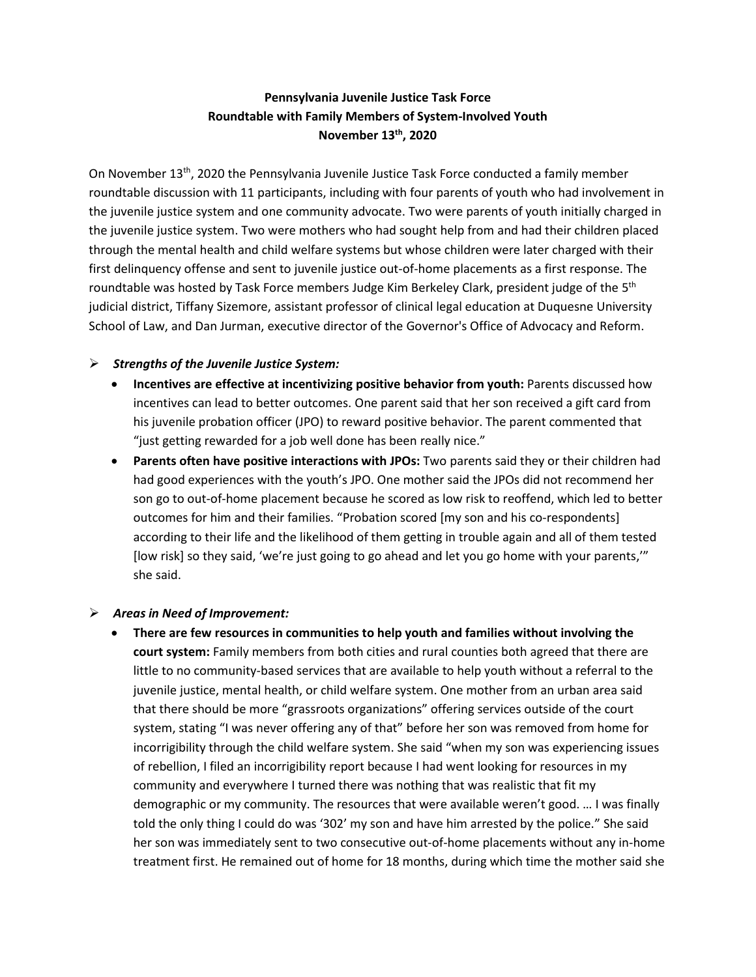## **Pennsylvania Juvenile Justice Task Force Roundtable with Family Members of System-Involved Youth November 13th, 2020**

On November 13<sup>th</sup>, 2020 the Pennsylvania Juvenile Justice Task Force conducted a family member roundtable discussion with 11 participants, including with four parents of youth who had involvement in the juvenile justice system and one community advocate. Two were parents of youth initially charged in the juvenile justice system. Two were mothers who had sought help from and had their children placed through the mental health and child welfare systems but whose children were later charged with their first delinquency offense and sent to juvenile justice out-of-home placements as a first response. The roundtable was hosted by Task Force members Judge Kim Berkeley Clark, president judge of the 5<sup>th</sup> judicial district, Tiffany Sizemore, assistant professor of clinical legal education at Duquesne University School of Law, and Dan Jurman, executive director of the Governor's Office of Advocacy and Reform.

## ➢ *Strengths of the Juvenile Justice System:*

- **Incentives are effective at incentivizing positive behavior from youth:** Parents discussed how incentives can lead to better outcomes. One parent said that her son received a gift card from his juvenile probation officer (JPO) to reward positive behavior. The parent commented that "just getting rewarded for a job well done has been really nice."
- **Parents often have positive interactions with JPOs:** Two parents said they or their children had had good experiences with the youth's JPO. One mother said the JPOs did not recommend her son go to out-of-home placement because he scored as low risk to reoffend, which led to better outcomes for him and their families. "Probation scored [my son and his co-respondents] according to their life and the likelihood of them getting in trouble again and all of them tested [low risk] so they said, 'we're just going to go ahead and let you go home with your parents,'" she said.

## ➢ *Areas in Need of Improvement:*

• **There are few resources in communities to help youth and families without involving the court system:** Family members from both cities and rural counties both agreed that there are little to no community-based services that are available to help youth without a referral to the juvenile justice, mental health, or child welfare system. One mother from an urban area said that there should be more "grassroots organizations" offering services outside of the court system, stating "I was never offering any of that" before her son was removed from home for incorrigibility through the child welfare system. She said "when my son was experiencing issues of rebellion, I filed an incorrigibility report because I had went looking for resources in my community and everywhere I turned there was nothing that was realistic that fit my demographic or my community. The resources that were available weren't good. … I was finally told the only thing I could do was '302' my son and have him arrested by the police." She said her son was immediately sent to two consecutive out-of-home placements without any in-home treatment first. He remained out of home for 18 months, during which time the mother said she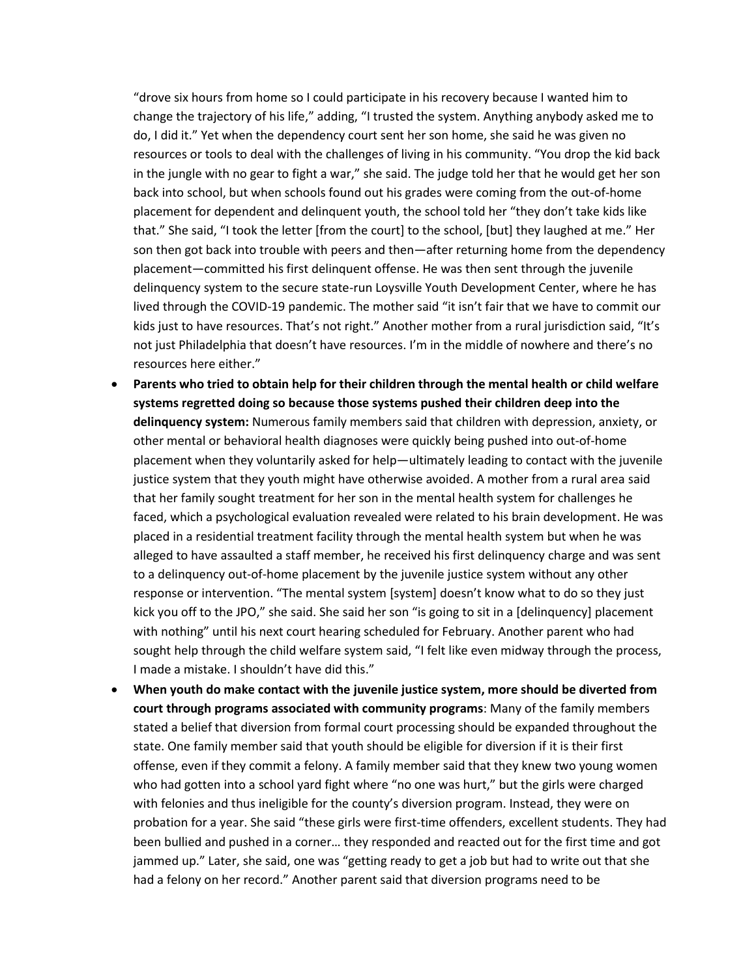"drove six hours from home so I could participate in his recovery because I wanted him to change the trajectory of his life," adding, "I trusted the system. Anything anybody asked me to do, I did it." Yet when the dependency court sent her son home, she said he was given no resources or tools to deal with the challenges of living in his community. "You drop the kid back in the jungle with no gear to fight a war," she said. The judge told her that he would get her son back into school, but when schools found out his grades were coming from the out-of-home placement for dependent and delinquent youth, the school told her "they don't take kids like that." She said, "I took the letter [from the court] to the school, [but] they laughed at me." Her son then got back into trouble with peers and then—after returning home from the dependency placement—committed his first delinquent offense. He was then sent through the juvenile delinquency system to the secure state-run Loysville Youth Development Center, where he has lived through the COVID-19 pandemic. The mother said "it isn't fair that we have to commit our kids just to have resources. That's not right." Another mother from a rural jurisdiction said, "It's not just Philadelphia that doesn't have resources. I'm in the middle of nowhere and there's no resources here either."

- **Parents who tried to obtain help for their children through the mental health or child welfare systems regretted doing so because those systems pushed their children deep into the delinquency system:** Numerous family members said that children with depression, anxiety, or other mental or behavioral health diagnoses were quickly being pushed into out-of-home placement when they voluntarily asked for help—ultimately leading to contact with the juvenile justice system that they youth might have otherwise avoided. A mother from a rural area said that her family sought treatment for her son in the mental health system for challenges he faced, which a psychological evaluation revealed were related to his brain development. He was placed in a residential treatment facility through the mental health system but when he was alleged to have assaulted a staff member, he received his first delinquency charge and was sent to a delinquency out-of-home placement by the juvenile justice system without any other response or intervention. "The mental system [system] doesn't know what to do so they just kick you off to the JPO," she said. She said her son "is going to sit in a [delinquency] placement with nothing" until his next court hearing scheduled for February. Another parent who had sought help through the child welfare system said, "I felt like even midway through the process, I made a mistake. I shouldn't have did this."
- **When youth do make contact with the juvenile justice system, more should be diverted from court through programs associated with community programs**: Many of the family members stated a belief that diversion from formal court processing should be expanded throughout the state. One family member said that youth should be eligible for diversion if it is their first offense, even if they commit a felony. A family member said that they knew two young women who had gotten into a school yard fight where "no one was hurt," but the girls were charged with felonies and thus ineligible for the county's diversion program. Instead, they were on probation for a year. She said "these girls were first-time offenders, excellent students. They had been bullied and pushed in a corner… they responded and reacted out for the first time and got jammed up." Later, she said, one was "getting ready to get a job but had to write out that she had a felony on her record." Another parent said that diversion programs need to be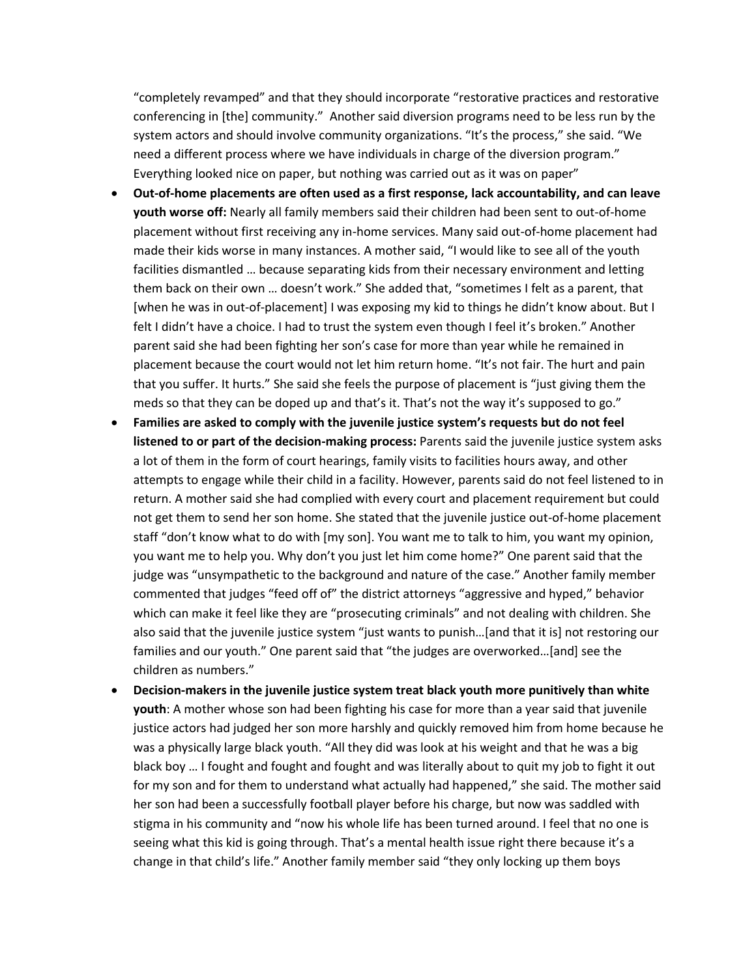"completely revamped" and that they should incorporate "restorative practices and restorative conferencing in [the] community." Another said diversion programs need to be less run by the system actors and should involve community organizations. "It's the process," she said. "We need a different process where we have individuals in charge of the diversion program." Everything looked nice on paper, but nothing was carried out as it was on paper"

- **Out-of-home placements are often used as a first response, lack accountability, and can leave youth worse off:** Nearly all family members said their children had been sent to out-of-home placement without first receiving any in-home services. Many said out-of-home placement had made their kids worse in many instances. A mother said, "I would like to see all of the youth facilities dismantled … because separating kids from their necessary environment and letting them back on their own … doesn't work." She added that, "sometimes I felt as a parent, that [when he was in out-of-placement] I was exposing my kid to things he didn't know about. But I felt I didn't have a choice. I had to trust the system even though I feel it's broken." Another parent said she had been fighting her son's case for more than year while he remained in placement because the court would not let him return home. "It's not fair. The hurt and pain that you suffer. It hurts." She said she feels the purpose of placement is "just giving them the meds so that they can be doped up and that's it. That's not the way it's supposed to go."
- **Families are asked to comply with the juvenile justice system's requests but do not feel listened to or part of the decision-making process:** Parents said the juvenile justice system asks a lot of them in the form of court hearings, family visits to facilities hours away, and other attempts to engage while their child in a facility. However, parents said do not feel listened to in return. A mother said she had complied with every court and placement requirement but could not get them to send her son home. She stated that the juvenile justice out-of-home placement staff "don't know what to do with [my son]. You want me to talk to him, you want my opinion, you want me to help you. Why don't you just let him come home?" One parent said that the judge was "unsympathetic to the background and nature of the case." Another family member commented that judges "feed off of" the district attorneys "aggressive and hyped," behavior which can make it feel like they are "prosecuting criminals" and not dealing with children. She also said that the juvenile justice system "just wants to punish…[and that it is] not restoring our families and our youth." One parent said that "the judges are overworked…[and] see the children as numbers."
- **Decision-makers in the juvenile justice system treat black youth more punitively than white youth**: A mother whose son had been fighting his case for more than a year said that juvenile justice actors had judged her son more harshly and quickly removed him from home because he was a physically large black youth. "All they did was look at his weight and that he was a big black boy … I fought and fought and fought and was literally about to quit my job to fight it out for my son and for them to understand what actually had happened," she said. The mother said her son had been a successfully football player before his charge, but now was saddled with stigma in his community and "now his whole life has been turned around. I feel that no one is seeing what this kid is going through. That's a mental health issue right there because it's a change in that child's life." Another family member said "they only locking up them boys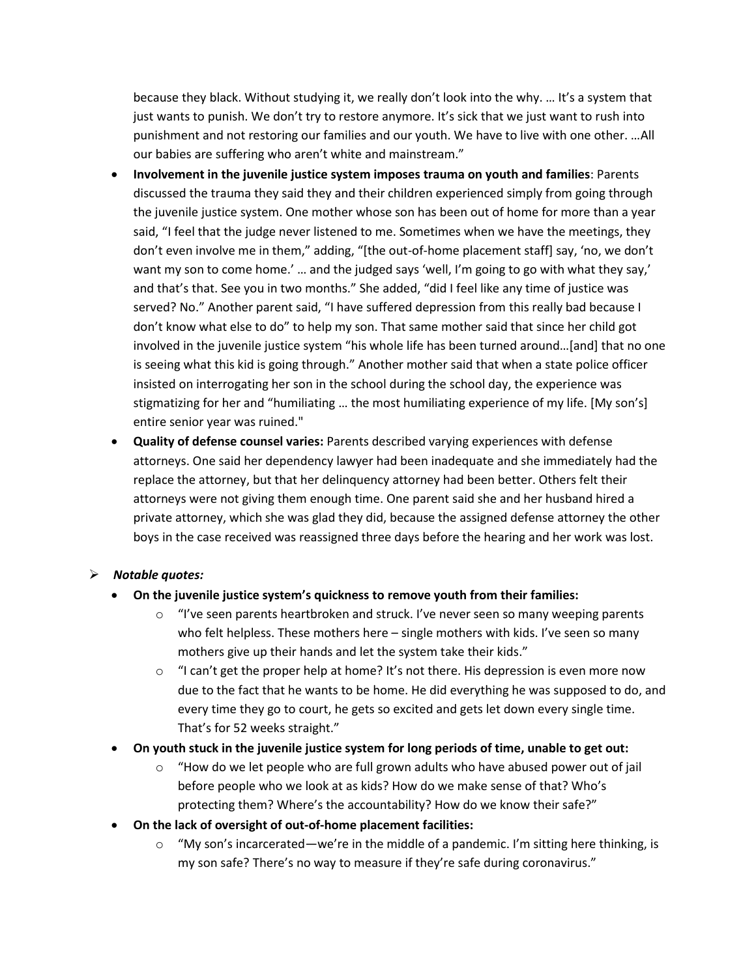because they black. Without studying it, we really don't look into the why. … It's a system that just wants to punish. We don't try to restore anymore. It's sick that we just want to rush into punishment and not restoring our families and our youth. We have to live with one other. …All our babies are suffering who aren't white and mainstream."

- **Involvement in the juvenile justice system imposes trauma on youth and families**: Parents discussed the trauma they said they and their children experienced simply from going through the juvenile justice system. One mother whose son has been out of home for more than a year said, "I feel that the judge never listened to me. Sometimes when we have the meetings, they don't even involve me in them," adding, "[the out-of-home placement staff] say, 'no, we don't want my son to come home.' … and the judged says 'well, I'm going to go with what they say,' and that's that. See you in two months." She added, "did I feel like any time of justice was served? No." Another parent said, "I have suffered depression from this really bad because I don't know what else to do" to help my son. That same mother said that since her child got involved in the juvenile justice system "his whole life has been turned around…[and] that no one is seeing what this kid is going through." Another mother said that when a state police officer insisted on interrogating her son in the school during the school day, the experience was stigmatizing for her and "humiliating … the most humiliating experience of my life. [My son's] entire senior year was ruined."
- **Quality of defense counsel varies:** Parents described varying experiences with defense attorneys. One said her dependency lawyer had been inadequate and she immediately had the replace the attorney, but that her delinquency attorney had been better. Others felt their attorneys were not giving them enough time. One parent said she and her husband hired a private attorney, which she was glad they did, because the assigned defense attorney the other boys in the case received was reassigned three days before the hearing and her work was lost.

## ➢ *Notable quotes:*

- **On the juvenile justice system's quickness to remove youth from their families:**
	- $\circ$  "I've seen parents heartbroken and struck. I've never seen so many weeping parents who felt helpless. These mothers here – single mothers with kids. I've seen so many mothers give up their hands and let the system take their kids."
	- $\circ$  "I can't get the proper help at home? It's not there. His depression is even more now due to the fact that he wants to be home. He did everything he was supposed to do, and every time they go to court, he gets so excited and gets let down every single time. That's for 52 weeks straight."
- **On youth stuck in the juvenile justice system for long periods of time, unable to get out:**
	- $\circ$  "How do we let people who are full grown adults who have abused power out of jail before people who we look at as kids? How do we make sense of that? Who's protecting them? Where's the accountability? How do we know their safe?"
- **On the lack of oversight of out-of-home placement facilities:** 
	- $\circ$  "My son's incarcerated—we're in the middle of a pandemic. I'm sitting here thinking, is my son safe? There's no way to measure if they're safe during coronavirus."